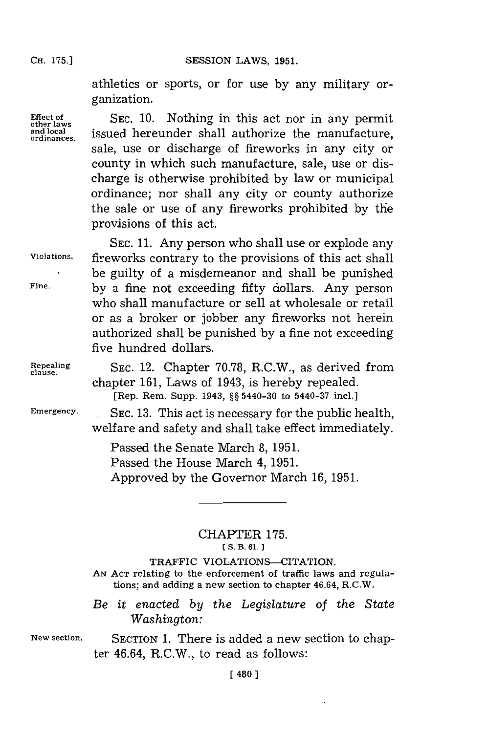**CH. 175.)**

athletics or sports, or for use by any military organization.

ordinances.

Effect of SEC. 10. Nothing in this act nor in any permit and local **issued** hereunder shall authorize the manufacture, sale, use or discharge of fireworks in any city or county in which such manufacture, sale, use or discharge is otherwise prohibited **by** law or municipal ordinance; nor shall any city or county authorize the sale or use of any fireworks prohibited **by** the provisions of this act.

**SEC. 11.** Any person who shall use or explode any **Violations,** fireworks contrary to the provisions of this act shall be guilty of a misdemeanor and shall be punished **Fine, by** a fine not exceeding fifty dollars. Any person who shall manufacture or sell at wholesale or retail or as a broker or jobber any fireworks not herein authorized shall be punished **by** a fine not exceeding five hundred dollars.

Repealing **SEC.** 12. Chapter 70.78, R.C.W., as derived from chapter **161,** Laws of 1943, is hereby repealed. [Rep. Rem. Supp. 1943, **§§** 5440-30 to 5440-37 incl.]

**Emergency. SEC. 13.** This act is necessary for the public health, welfare and safety and shall take effect immediately.

> Passed the Senate March **8, 1951.** Passed the House March 4, **1951.** Approved **by** the Governor March **16, 195 1.**

## CHAPTER **175. [ S. B. 61. 1**

TRAFFIC VIOLATIONS-CITATION.

**AN ACT** relating to the enforcement of traffic laws and regulations; and adding a new section to chapter 46.64, R.C.W.

*Be it enacted by the Legislature of the State Washington:*

**New section. SECTION 1.** There is added a new section to chapter 46.64, R.C.W., to read as follows: